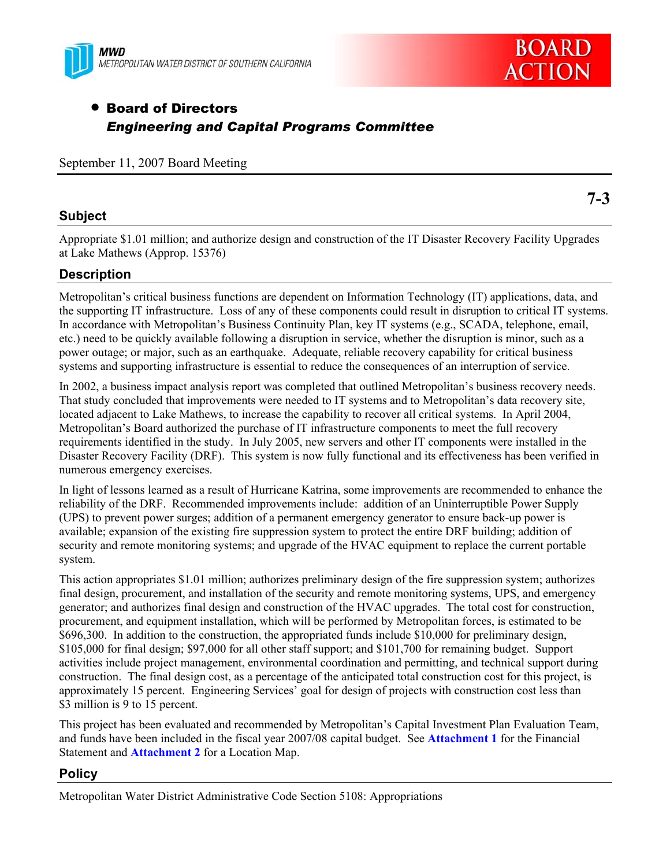



# • Board of Directors *Engineering and Capital Programs Committee*

September 11, 2007 Board Meeting

## **Subject**

**7-3** 

Appropriate \$1.01 million; and authorize design and construction of the IT Disaster Recovery Facility Upgrades at Lake Mathews (Approp. 15376)

# **Description**

Metropolitan's critical business functions are dependent on Information Technology (IT) applications, data, and the supporting IT infrastructure. Loss of any of these components could result in disruption to critical IT systems. In accordance with Metropolitan's Business Continuity Plan, key IT systems (e.g., SCADA, telephone, email, etc.) need to be quickly available following a disruption in service, whether the disruption is minor, such as a power outage; or major, such as an earthquake. Adequate, reliable recovery capability for critical business systems and supporting infrastructure is essential to reduce the consequences of an interruption of service.

In 2002, a business impact analysis report was completed that outlined Metropolitan's business recovery needs. That study concluded that improvements were needed to IT systems and to Metropolitan's data recovery site, located adjacent to Lake Mathews, to increase the capability to recover all critical systems. In April 2004, Metropolitan's Board authorized the purchase of IT infrastructure components to meet the full recovery requirements identified in the study. In July 2005, new servers and other IT components were installed in the Disaster Recovery Facility (DRF). This system is now fully functional and its effectiveness has been verified in numerous emergency exercises.

In light of lessons learned as a result of Hurricane Katrina, some improvements are recommended to enhance the reliability of the DRF. Recommended improvements include: addition of an Uninterruptible Power Supply (UPS) to prevent power surges; addition of a permanent emergency generator to ensure back-up power is available; expansion of the existing fire suppression system to protect the entire DRF building; addition of security and remote monitoring systems; and upgrade of the HVAC equipment to replace the current portable system.

This action appropriates \$1.01 million; authorizes preliminary design of the fire suppression system; authorizes final design, procurement, and installation of the security and remote monitoring systems, UPS, and emergency generator; and authorizes final design and construction of the HVAC upgrades. The total cost for construction, procurement, and equipment installation, which will be performed by Metropolitan forces, is estimated to be \$696,300. In addition to the construction, the appropriated funds include \$10,000 for preliminary design, \$105,000 for final design; \$97,000 for all other staff support; and \$101,700 for remaining budget. Support activities include project management, environmental coordination and permitting, and technical support during construction. The final design cost, as a percentage of the anticipated total construction cost for this project, is approximately 15 percent. Engineering Services' goal for design of projects with construction cost less than \$3 million is 9 to 15 percent.

This project has been evaluated and recommended by Metropolitan's Capital Investment Plan Evaluation Team, and funds have been included in the fiscal year 2007/08 capital budget. See **Attachment 1** for the Financial Statement and **Attachment 2** for a Location Map.

## **Policy**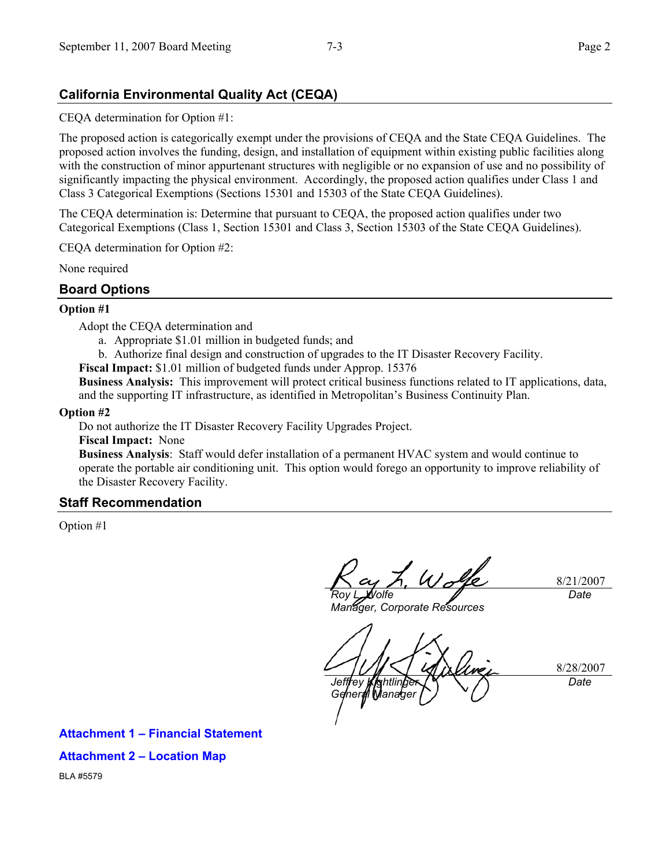## **California Environmental Quality Act (CEQA)**

CEQA determination for Option #1:

The proposed action is categorically exempt under the provisions of CEQA and the State CEQA Guidelines. The proposed action involves the funding, design, and installation of equipment within existing public facilities along with the construction of minor appurtenant structures with negligible or no expansion of use and no possibility of significantly impacting the physical environment. Accordingly, the proposed action qualifies under Class 1 and Class 3 Categorical Exemptions (Sections 15301 and 15303 of the State CEQA Guidelines).

The CEQA determination is: Determine that pursuant to CEQA, the proposed action qualifies under two Categorical Exemptions (Class 1, Section 15301 and Class 3, Section 15303 of the State CEQA Guidelines).

CEQA determination for Option #2:

None required

### **Board Options**

#### **Option #1**

Adopt the CEQA determination and

- a. Appropriate \$1.01 million in budgeted funds; and
- b. Authorize final design and construction of upgrades to the IT Disaster Recovery Facility.
- **Fiscal Impact:** \$1.01 million of budgeted funds under Approp. 15376

**Business Analysis:** This improvement will protect critical business functions related to IT applications, data, and the supporting IT infrastructure, as identified in Metropolitan's Business Continuity Plan.

#### **Option #2**

Do not authorize the IT Disaster Recovery Facility Upgrades Project.

**Fiscal Impact:** None

**Business Analysis**:Staff would defer installation of a permanent HVAC system and would continue to operate the portable air conditioning unit. This option would forego an opportunity to improve reliability of the Disaster Recovery Facility.

#### **Staff Recommendation**

Option #1

*Roy L. Wolfe* 

8/21/2007 *Date* 

*Manager, Corporate Resources* 

8/28/2007 *Jeffrey Kightlinger General Manager Date* 

**Attachment 1 – Financial Statement Attachment 2 – Location Map**  BLA #5579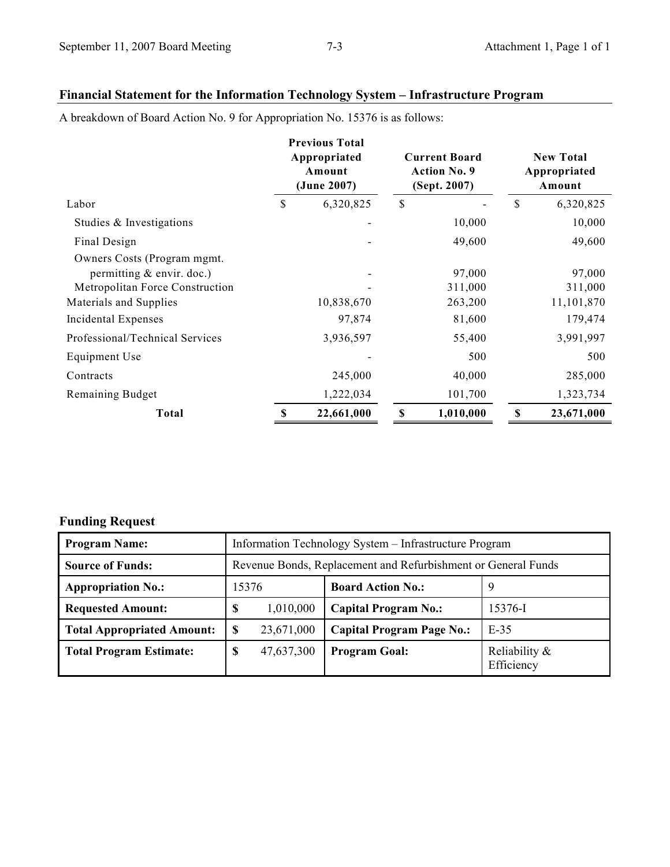# **Financial Statement for the Information Technology System – Infrastructure Program**

A breakdown of Board Action No. 9 for Appropriation No. 15376 is as follows:

|                                                                                              |           | <b>Previous Total</b><br>Appropriated<br>Amount<br>(June 2007) | <b>Current Board</b><br><b>Action No. 9</b><br>(Sept. 2007) |                   | <b>New Total</b><br>Appropriated<br>Amount |                   |
|----------------------------------------------------------------------------------------------|-----------|----------------------------------------------------------------|-------------------------------------------------------------|-------------------|--------------------------------------------|-------------------|
| Labor                                                                                        | \$        | 6,320,825                                                      | \$                                                          |                   | \$                                         | 6,320,825         |
| Studies & Investigations                                                                     |           |                                                                |                                                             | 10,000            |                                            | 10,000            |
| Final Design                                                                                 |           |                                                                |                                                             | 49,600            |                                            | 49,600            |
| Owners Costs (Program mgmt.)<br>permitting & envir. doc.)<br>Metropolitan Force Construction |           |                                                                |                                                             | 97,000<br>311,000 |                                            | 97,000<br>311,000 |
| Materials and Supplies                                                                       |           | 10,838,670                                                     |                                                             | 263,200           |                                            | 11,101,870        |
| Incidental Expenses                                                                          |           | 97,874                                                         |                                                             | 81,600            |                                            | 179,474           |
| Professional/Technical Services                                                              |           | 3,936,597                                                      |                                                             | 55,400            |                                            | 3,991,997         |
| Equipment Use                                                                                |           |                                                                |                                                             | 500               |                                            | 500               |
| Contracts                                                                                    |           | 245,000                                                        |                                                             | 40,000            |                                            | 285,000           |
| Remaining Budget                                                                             | 1,222,034 |                                                                | 101,700                                                     |                   | 1,323,734                                  |                   |
| <b>Total</b>                                                                                 | \$        | 22,661,000                                                     | $\boldsymbol{\mathsf{S}}$                                   | 1,010,000         | \$                                         | 23,671,000        |

# **Funding Request**

| <b>Program Name:</b>              | Information Technology System - Infrastructure Program        |            |                                  |                             |  |  |  |
|-----------------------------------|---------------------------------------------------------------|------------|----------------------------------|-----------------------------|--|--|--|
| <b>Source of Funds:</b>           | Revenue Bonds, Replacement and Refurbishment or General Funds |            |                                  |                             |  |  |  |
| <b>Appropriation No.:</b>         | 15376                                                         |            | <b>Board Action No.:</b>         | 9                           |  |  |  |
| <b>Requested Amount:</b>          | \$                                                            | 1,010,000  | <b>Capital Program No.:</b>      | 15376-I                     |  |  |  |
| <b>Total Appropriated Amount:</b> | S                                                             | 23,671,000 | <b>Capital Program Page No.:</b> | $E-35$                      |  |  |  |
| <b>Total Program Estimate:</b>    | \$                                                            | 47,637,300 | <b>Program Goal:</b>             | Reliability &<br>Efficiency |  |  |  |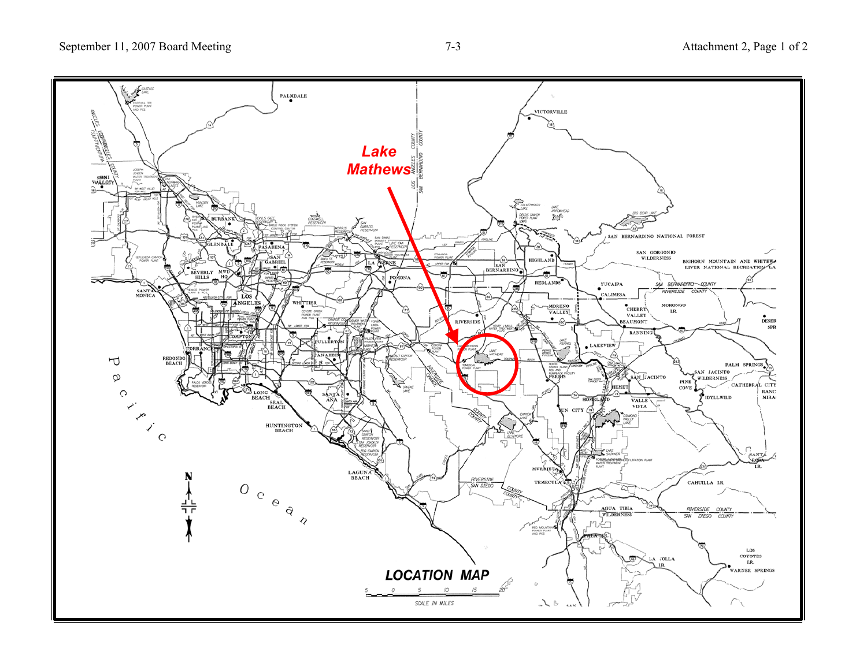